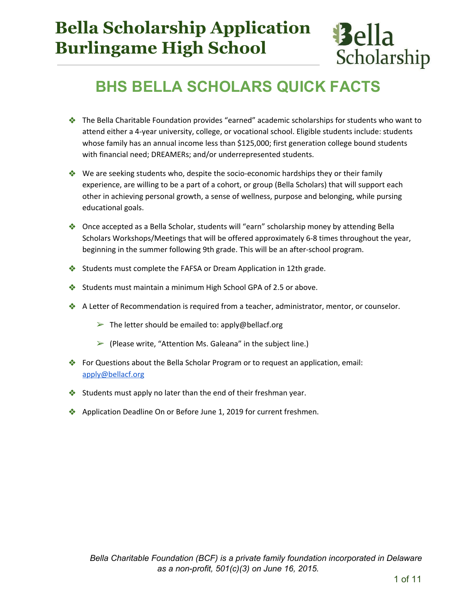# **Bella Scholarship Application Burlingame High School**

# **BHS BELLA SCHOLARS QUICK FACTS**

**Bella** 

Scholarship

- ❖ The Bella Charitable Foundation provides "earned" academic scholarships for students who want to attend either a 4-year university, college, or vocational school. Eligible students include: students whose family has an annual income less than \$125,000; first generation college bound students with financial need; DREAMERs; and/or underrepresented students.
- ❖ We are seeking students who, despite the socio-economic hardships they or their family experience, are willing to be a part of a cohort, or group (Bella Scholars) that will support each other in achieving personal growth, a sense of wellness, purpose and belonging, while pursing educational goals.
- ❖ Once accepted as a Bella Scholar, students will "earn" scholarship money by attending Bella Scholars Workshops/Meetings that will be offered approximately 6-8 times throughout the year, beginning in the summer following 9th grade. This will be an after-school program.
- ❖ Students must complete the FAFSA or Dream Application in 12th grade.
- ❖ Students must maintain a minimum High School GPA of 2.5 or above.
- ❖ A Letter of Recommendation is required from a teacher, administrator, mentor, or counselor.
	- $\triangleright$  The letter should be emailed to: apply[@bellacf.](mailto:bellacharitable@gmail.com)org
	- $\triangleright$  (Please write, "Attention Ms. Galeana" in the subject line.)
- ❖ For Questions about the Bella Scholar Program or to request an application, email: [apply@bellacf.org](mailto:apply@bellacf.org)
- ❖ Students must apply no later than the end of their freshman year.
- ❖ Application Deadline On or Before June 1, 2019 for current freshmen.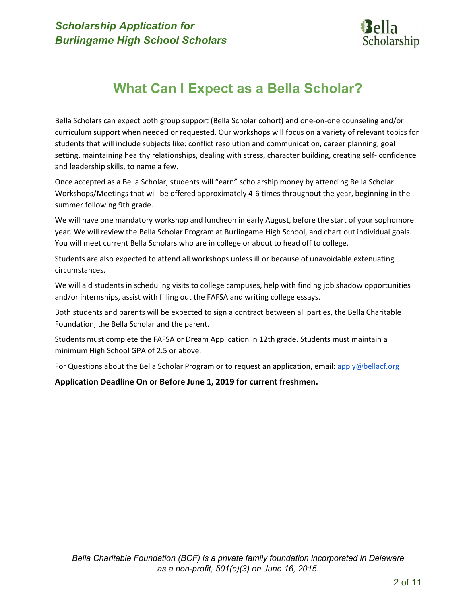#### *Scholarship Application for Burlingame High School Scholars*



## **What Can I Expect as a Bella Scholar?**

Bella Scholars can expect both group support (Bella Scholar cohort) and one-on-one counseling and/or curriculum support when needed or requested. Our workshops will focus on a variety of relevant topics for students that will include subjects like: conflict resolution and communication, career planning, goal setting, maintaining healthy relationships, dealing with stress, character building, creating self- confidence and leadership skills, to name a few.

Once accepted as a Bella Scholar, students will "earn" scholarship money by attending Bella Scholar Workshops/Meetings that will be offered approximately 4-6 times throughout the year, beginning in the summer following 9th grade.

We will have one mandatory workshop and luncheon in early August, before the start of your sophomore year. We will review the Bella Scholar Program at Burlingame High School, and chart out individual goals. You will meet current Bella Scholars who are in college or about to head off to college.

Students are also expected to attend all workshops unless ill or because of unavoidable extenuating circumstances.

We will aid students in scheduling visits to college campuses, help with finding job shadow opportunities and/or internships, assist with filling out the FAFSA and writing college essays.

Both students and parents will be expected to sign a contract between all parties, the Bella Charitable Foundation, the Bella Scholar and the parent.

Students must complete the FAFSA or Dream Application in 12th grade. Students must maintain a minimum High School GPA of 2.5 or above.

For Questions about the Bella Scholar Program or to request an application, email: [apply@bellacf.org](mailto:apply@bellacf.org)

**Application Deadline On or Before June 1, 2019 for current freshmen.**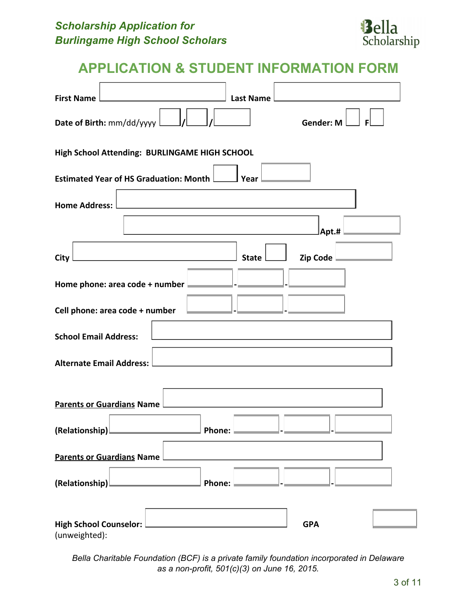

### **APPLICATION & STUDENT INFORMATION FORM**

| <b>First Name</b>            |                                                                                                                                                 | <b>Last Name</b>                                  |                  |
|------------------------------|-------------------------------------------------------------------------------------------------------------------------------------------------|---------------------------------------------------|------------------|
|                              | Date of Birth: mm/dd/yyyy l                                                                                                                     |                                                   | <b>Gender: M</b> |
|                              | High School Attending: BURLINGAME HIGH SCHOOL                                                                                                   |                                                   |                  |
|                              | <b>Estimated Year of HS Graduation: Month</b>                                                                                                   | Year                                              |                  |
| <b>Home Address:</b>         |                                                                                                                                                 |                                                   |                  |
|                              |                                                                                                                                                 |                                                   | Apt.#            |
| City                         |                                                                                                                                                 | <b>State</b>                                      | <b>Zip Code</b>  |
|                              | Home phone: area code + number                                                                                                                  |                                                   |                  |
|                              | Cell phone: area code + number                                                                                                                  |                                                   |                  |
| <b>School Email Address:</b> |                                                                                                                                                 |                                                   |                  |
|                              | <b>Alternate Email Address:</b>                                                                                                                 |                                                   |                  |
|                              |                                                                                                                                                 |                                                   |                  |
|                              | <b>Parents or Guardians Name</b>                                                                                                                |                                                   |                  |
| (Relationship)               | <b>Phone:</b>                                                                                                                                   |                                                   |                  |
|                              | <b>Parents or Guardians Name</b>                                                                                                                | <u> 1980 - Johann Barbara, martxa alemaniar a</u> |                  |
|                              | (Relationship)<br>Phone:                                                                                                                        |                                                   |                  |
|                              |                                                                                                                                                 |                                                   |                  |
| (unweighted):                | High School Counselor:<br><u> 1989 - Johann Barn, mars ann an t-Amhair an t-Amhair an t-Amhair an t-Amhair an t-Amhair an t-Amhair an t-Amh</u> |                                                   | <b>GPA</b>       |

*Bella Charitable Foundation (BCF) is a private family foundation incorporated in Delaware as a non-profit, 501(c)(3) on June 16, 2015.*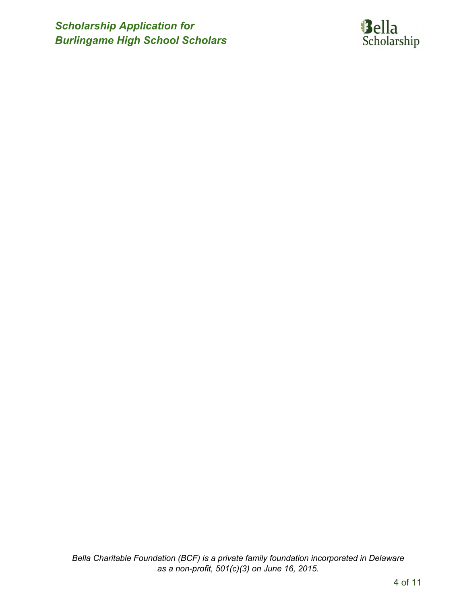*Scholarship Application for Burlingame High School Scholars*

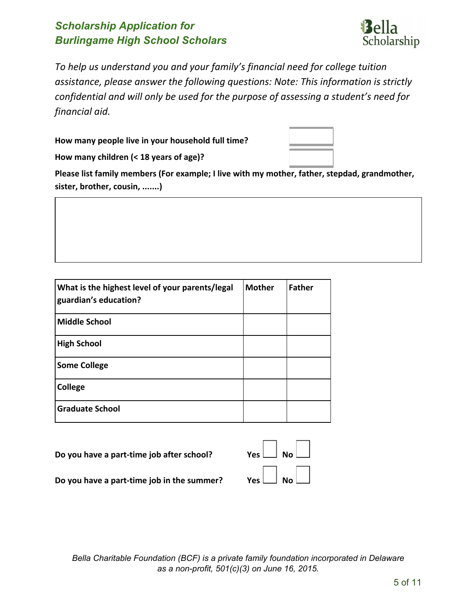#### *Scholarship Application for Burlingame High School Scholars*



*To help us understand you and your family's financial need for college tuition assistance, please answer the following questions: Note: This information is strictly confidential and will only be used for the purpose of assessing a student's need for financial aid.*

**How many people live in your household full time?**

**How many children (< 18 years of age)?**

**Please list family members (For example; I live with my mother, father, stepdad, grandmother, sister, brother, cousin, .......)**

| What is the highest level of your parents/legal<br>guardian's education? | <b>Mother</b> | <b>Father</b> |
|--------------------------------------------------------------------------|---------------|---------------|
| <b>Middle School</b>                                                     |               |               |
| <b>High School</b>                                                       |               |               |
| <b>Some College</b>                                                      |               |               |
| <b>College</b>                                                           |               |               |
| <b>Graduate School</b>                                                   |               |               |

| Do you have a part-time job after school?  | $Yes$ No $\Box$ |
|--------------------------------------------|-----------------|
| Do you have a part-time job in the summer? | $Yes$ No $\Box$ |

*Bella Charitable Foundation (BCF) is a private family foundation incorporated in Delaware as a non-profit, 501(c)(3) on June 16, 2015.*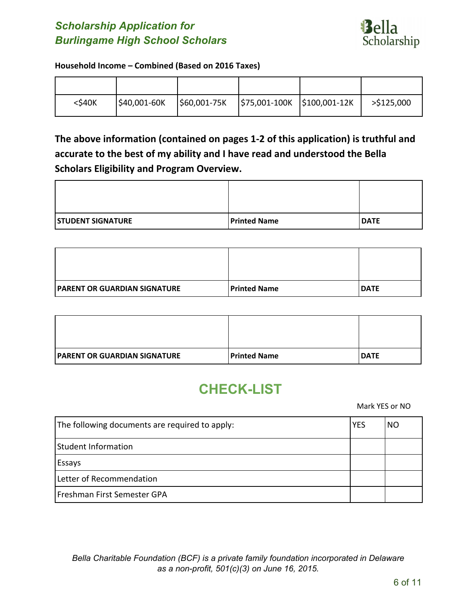

#### **Household Income – Combined (Based on 2016 Taxes)**

| <\$40K | $ $40,001-60K$ | S60,001-75K | $ \$75,001-100K$ $ \$100,001-12K$ | $>$ \$125,000 |
|--------|----------------|-------------|-----------------------------------|---------------|

#### **The above information (contained on pages 1-2 of this application) is truthful and accurate to the best of my ability and I have read and understood the Bella Scholars Eligibility and Program Overview.**

| <b>STUDENT SIGNATURE</b> | <b>Printed Name</b> | <b>DATE</b> |
|--------------------------|---------------------|-------------|

| <b>PARENT OR GUARDIAN SIGNATURE</b> | <b>Printed Name</b> | <b>DATE</b> |
|-------------------------------------|---------------------|-------------|

| <b>I PARENT OR GUARDIAN SIGNATURE</b> | <b>Printed Name</b> | <b>DATE</b> |
|---------------------------------------|---------------------|-------------|

### **CHECK-LIST**

Mark YES or NO

| The following documents are required to apply: |  | NO |
|------------------------------------------------|--|----|
| <b>Student Information</b>                     |  |    |
| Essays                                         |  |    |
| Letter of Recommendation                       |  |    |
| Freshman First Semester GPA                    |  |    |

*Bella Charitable Foundation (BCF) is a private family foundation incorporated in Delaware as a non-profit, 501(c)(3) on June 16, 2015.*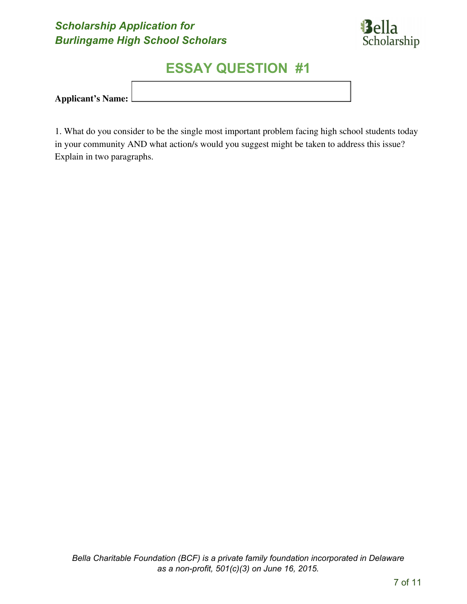

#### **ESSAY QUESTION #1**

| Applicant's Name: L |  |
|---------------------|--|

1. What do you consider to be the single most important problem facing high school students today in your community AND what action/s would you suggest might be taken to address this issue? Explain in two paragraphs.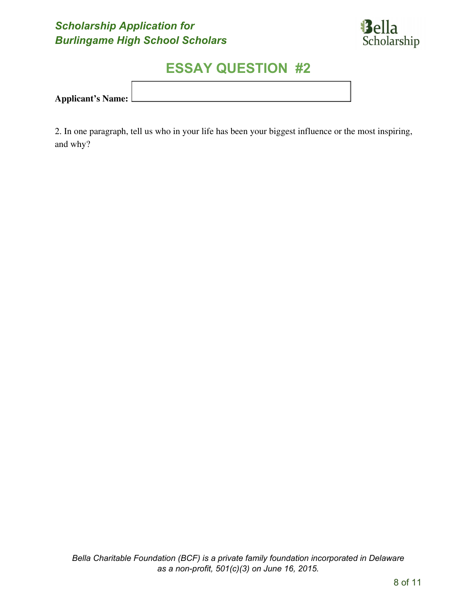

#### **ESSAY QUESTION #2**

| <b>Applicant's Name:</b> L |  |
|----------------------------|--|
|                            |  |

2. In one paragraph, tell us who in your life has been your biggest influence or the most inspiring, and why?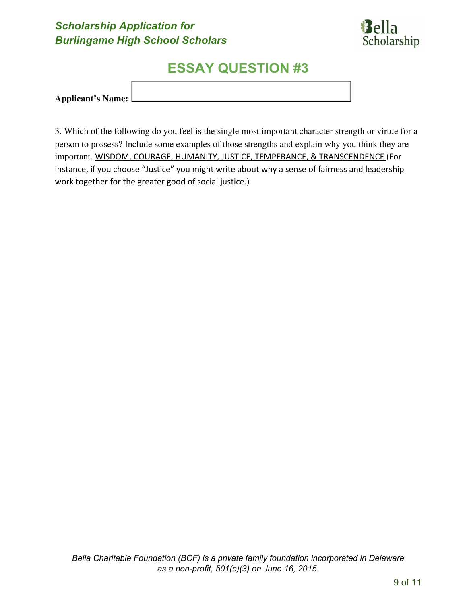

### **ESSAY QUESTION #3**

**Applicant's Name:**

3. Which of the following do you feel is the single most important character strength or virtue for a person to possess? Include some examples of those strengths and explain why you think they are important. WISDOM, COURAGE, HUMANITY, JUSTICE, TEMPERANCE, & TRANSCENDENCE (For instance, if you choose "Justice" you might write about why a sense of fairness and leadership work together for the greater good of social justice.)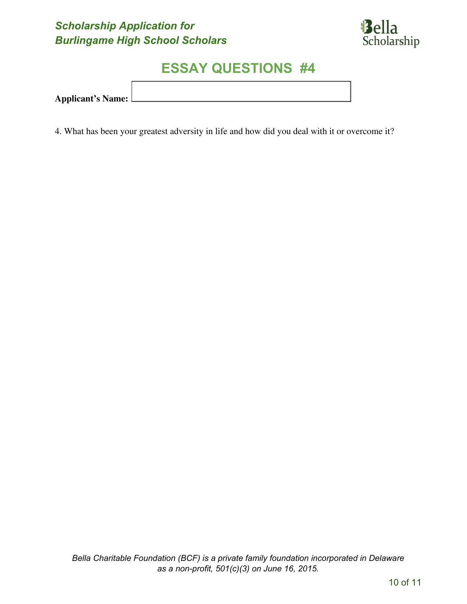

#### **ESSAY QUESTIONS #4**

| <b>Applicant's Name:</b> L |  |
|----------------------------|--|
|                            |  |

4. What has been your greatest adversity in life and how did you deal with it or overcome it?